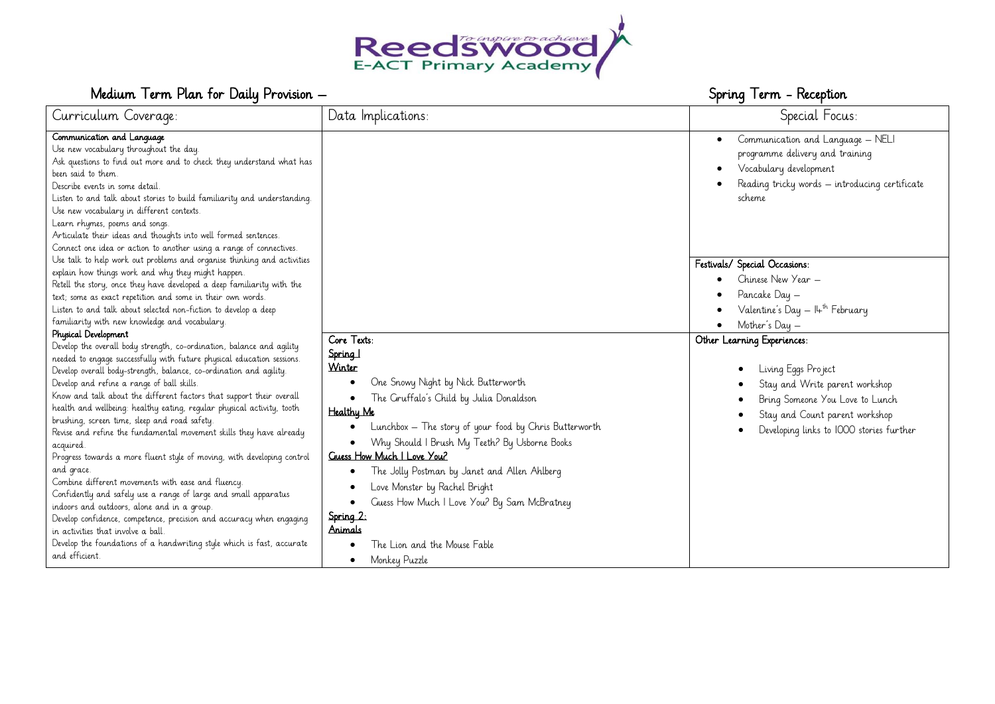

# Medium Term Plan for Daily Provision – Spring Term - Reception Spring Term - Reception

| Curriculum Coverage:                                                                                                                                                                                                                                                                                                                                                                                                                                                                                                                                                                                                                                                                                                                                                                                                                                                                                                                                                                                                                                         | Data Implications:                                                                                                                                                                                                                                                                                                                                                                                                                                                                                                                                     | Special Focus:                                                                                                                                                                                                                  |
|--------------------------------------------------------------------------------------------------------------------------------------------------------------------------------------------------------------------------------------------------------------------------------------------------------------------------------------------------------------------------------------------------------------------------------------------------------------------------------------------------------------------------------------------------------------------------------------------------------------------------------------------------------------------------------------------------------------------------------------------------------------------------------------------------------------------------------------------------------------------------------------------------------------------------------------------------------------------------------------------------------------------------------------------------------------|--------------------------------------------------------------------------------------------------------------------------------------------------------------------------------------------------------------------------------------------------------------------------------------------------------------------------------------------------------------------------------------------------------------------------------------------------------------------------------------------------------------------------------------------------------|---------------------------------------------------------------------------------------------------------------------------------------------------------------------------------------------------------------------------------|
| Communication and Language<br>Use new vocabulary throughout the day.<br>Ask questions to find out more and to check they understand what has<br>been said to them.<br>Describe events in some detail<br>Listen to and talk about stories to build familiarity and understanding.<br>Use new vocabulary in different contexts.<br>Learn rhymes, poems and songs.<br>Articulate their ideas and thoughts into well formed sentences.<br>Connect one idea or action to another using a range of connectives.                                                                                                                                                                                                                                                                                                                                                                                                                                                                                                                                                    |                                                                                                                                                                                                                                                                                                                                                                                                                                                                                                                                                        | Communication and Language - NELI<br>$\bullet$<br>programme delivery and training<br>Vocabulary development<br>Reading tricky words - introducing certificate<br>scheme                                                         |
| Use talk to help work out problems and organise thinking and activities<br>explain how things work and why they might happen.<br>Retell the story, once they have developed a deep familiarity with the<br>text; some as exact repetition and some in their own words.<br>Listen to and talk about selected non-fiction to develop a deep<br>familiarity with new knowledge and vocabulary.                                                                                                                                                                                                                                                                                                                                                                                                                                                                                                                                                                                                                                                                  |                                                                                                                                                                                                                                                                                                                                                                                                                                                                                                                                                        | Festivals/ Special Occasions:<br>Chinese New Year -<br>Pancake Day -<br>Valentine's Day — I4 <sup>th</sup> February<br>Mother's Day -                                                                                           |
| Physical Development<br>Develop the overall body strength, co-ordination, balance and agility<br>needed to engage successfully with future physical education sessions.<br>Develop overall body-strength, balance, co-ordination and agility.<br>Develop and refine a range of ball skills.<br>Know and talk about the different factors that support their overall<br>health and wellbeing: healthy eating, regular physical activity, tooth<br>brushing, screen time, sleep and road safety.<br>Revise and refine the fundamental movement skills they have already<br>acquired<br>Progress towards a more fluent style of moving, with developing control<br>and grace.<br>Combine different movements with ease and fluency.<br>Confidently and safely use a range of large and small apparatus<br>indoors and outdoors, alone and in a group.<br>Develop confidence, competence, precision and accuracy when engaging<br>in activities that involve a ball.<br>Develop the foundations of a handwriting style which is fast, accurate<br>and efficient. | Core Texts:<br>Spring 1<br>Winter<br>One Snowy Night by Nick Butterworth<br>٠<br>The Gruffalo's Child by Julia Donaldson<br>٠<br>Healthy Me<br>Lunchbox - The story of your food by Chris Butterworth<br>Why Should I Brush My Teeth? By Usborne Books<br>$\bullet$<br><b>Cluess How Much I Love You?</b><br>The Jolly Postman by Janet and Allen Ahlberg<br>٠<br>Love Monster by Rachel Bright<br>$\bullet$<br>Guess How Much I Love You? By Sam McBratney<br>٠<br>Spring 2:<br>Animals<br>The Lion and the Mouse Fable<br>Monkey Puzzle<br>$\bullet$ | Other Learning Experiences:<br>Living Eggs Project<br>$\bullet$<br>Stay and Write parent workshop<br>Bring Someone You Love to Lunch<br>Stay and Count parent workshop<br>Developing links to IOOO stories further<br>$\bullet$ |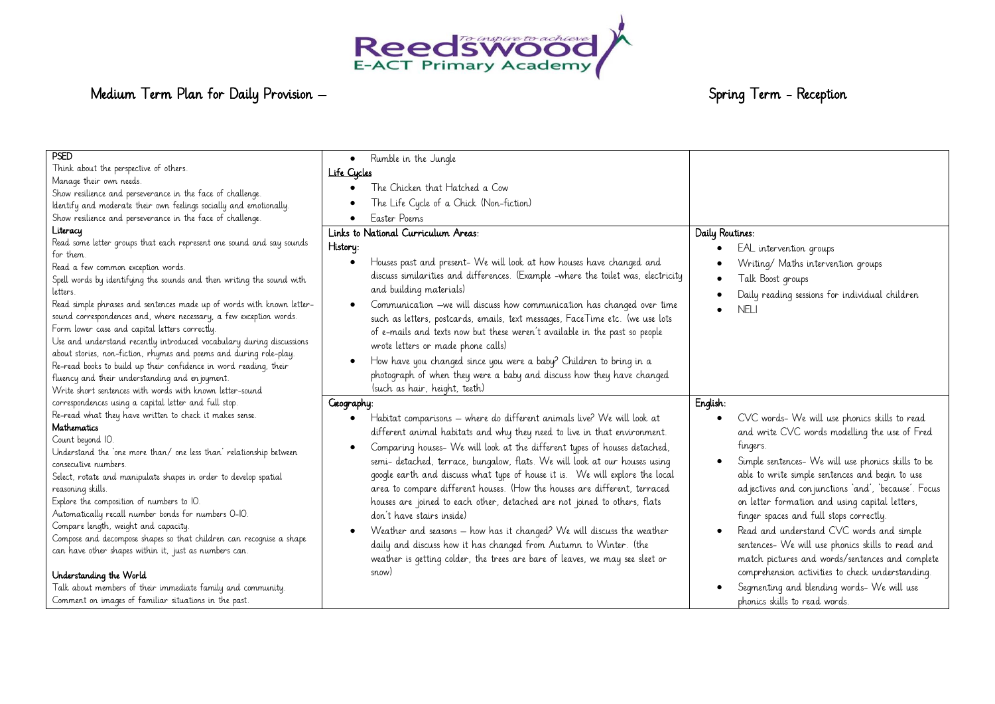

# Medium Term Plan for Daily Provision – Spring Term - Reception Spring Term - Reception

| PSED                                                                  | Rumble in the Jungle<br>$\bullet$                                                  |                                                       |
|-----------------------------------------------------------------------|------------------------------------------------------------------------------------|-------------------------------------------------------|
| Think about the perspective of others.                                | Life Cycles                                                                        |                                                       |
| Manage their own needs.                                               | The Chicken that Hatched a Cow                                                     |                                                       |
| Show resilience and perseverance in the face of challenge.            |                                                                                    |                                                       |
| ldentify and moderate their own feelings socially and emotionally.    | The Life Cycle of a Chick (Non-fiction)                                            |                                                       |
| Show resilience and perseverance in the face of challenge.            | Easter Poems                                                                       |                                                       |
| Literacy                                                              | Links to National Curriculum Areas:                                                | Daily Routines:                                       |
| Read some letter groups that each represent one sound and say sounds  | History:                                                                           | EAL intervention groups                               |
| for them.                                                             |                                                                                    |                                                       |
| Read a few common exception words.                                    | Houses past and present- We will look at how houses have changed and               | Writing/ Maths intervention groups                    |
| Spell words by identifying the sounds and then writing the sound with | discuss similarities and differences. (Example -where the toilet was, electricity  | Talk Boost groups                                     |
| letters.                                                              | and building materials)                                                            | Daily reading sessions for individual children        |
| Read simple phrases and sentences made up of words with known letter- | Communication -we will discuss how communication has changed over time             | <b>NELI</b>                                           |
| sound correspondences and, where necessary, a few exception words.    | such as letters, postcards, emails, text messages, FaceTime etc. (we use lots      |                                                       |
| Form lower case and capital letters correctly.                        | of e-mails and texts now but these weren't available in the past so people         |                                                       |
| Use and understand recently introduced vocabulary during discussions  | wrote letters or made phone calls)                                                 |                                                       |
| about stories, non-fiction, rhymes and poems and during role-play.    |                                                                                    |                                                       |
| Re-read books to build up their confidence in word reading, their     | How have you changed since you were a baby? Children to bring in a                 |                                                       |
| fluency and their understanding and en joyment.                       | photograph of when they were a baby and discuss how they have changed              |                                                       |
| Write short sentences with words with known letter-sound              | (such as hair, height, teeth)                                                      |                                                       |
| correspondences using a capital letter and full stop.                 | Geography:                                                                         | English:                                              |
| Re-read what they have written to check it makes sense.               | Habitat comparisons - where do different animals live? We will look at<br>٠        | CVC words- We will use phonics skills to read         |
| <b>Mathematics</b>                                                    | different animal habitats and why they need to live in that environment.           | and write CVC words modelling the use of Fred         |
| Count beyond IO.                                                      |                                                                                    |                                                       |
| Understand the 'one more than/ one less than' relationship between    | Comparing houses- We will look at the different types of houses detached,          | fingers.                                              |
| consecutive numbers.                                                  | semi- detached, terrace, bungalow, flats. We will look at our houses using         | Simple sentences- We will use phonics skills to be    |
| Select, rotate and manipulate shapes in order to develop spatial      | google earth and discuss what type of house it is. We will explore the local       | able to write simple sentences and begin to use       |
| reasoning skills.                                                     | area to compare different houses. (How the houses are different, terraced          | ad jectives and con junctions 'and', 'because'. Focus |
| Explore the composition of numbers to IO.                             | houses are joined to each other, detached are not joined to others, flats          | on letter formation and using capital letters,        |
| Automatically recall number bonds for numbers 0-IO.                   | don't have stairs inside)                                                          | finger spaces and full stops correctly.               |
| Compare length, weight and capacity.                                  | Weather and seasons - how has it changed? We will discuss the weather<br>$\bullet$ | Read and understand CVC words and simple              |
| Compose and decompose shapes so that children can recognise a shape   |                                                                                    |                                                       |
| can have other shapes within it, just as numbers can.                 | daily and discuss how it has changed from Autumn to Winter. (the                   | sentences- We will use phonics skills to read and     |
|                                                                       | weather is getting colder, the trees are bare of leaves, we may see sleet or       | match pictures and words/sentences and complete       |
| Understanding the World                                               | snow)                                                                              | comprehension activities to check understanding.      |
| Talk about members of their immediate family and community.           |                                                                                    |                                                       |
|                                                                       |                                                                                    | Segmenting and blending words- We will use            |